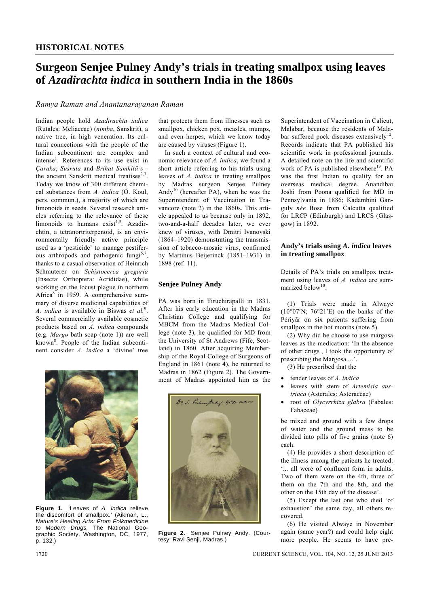# **Surgeon Senjee Pulney Andy's trials in treating smallpox using leaves of** *Azadirachta indica* **in southern India in the 1860s**

## *Ramya Raman and Anantanarayanan Raman*

Indian people hold *Azadirachta indica* (Rutales: Meliaceae) (*nimba*, Sanskrit), a native tree, in high veneration. Its cultural connections with the people of the Indian subcontinent are complex and intense<sup>1</sup>. References to its use exist in *Çaraka*, *Suśruŧa* and *Brihat Samhitã*-s – the ancient Sanskrit medical treatises $2,3$ . Today we know of 300 different chemical substances from *A. indica* (O. Koul, pers. commun.), a majority of which are limonoids in seeds. Several research articles referring to the relevance of these limonoids to humans  $exist^{4,5}$ . Azadirchtin, a tetranortriterpenoid, is an environmentally friendly active principle used as a 'pesticide' to manage pestiferous arthropods and pathogenic fungi<sup>6,7</sup>, thanks to a casual observation of Heinrich Schmuterer on *Schistocerca gregaria* (Insecta: Orthoptera: Acrididae), while working on the locust plague in northern Africa $8$  in 1959. A comprehensive summary of diverse medicinal capabilities of *A. indica* is available in Biswas *et al.*<sup>9</sup> . Several commercially available cosmetic products based on *A. indica* compounds (e.g. *Margo* bath soap (note 1)) are well known<sup>8</sup>. People of the Indian subcontinent consider *A. indica* a 'divine' tree



**Figure 1.** 'Leaves of *A. indica* relieve the discomfort of smallpox.' (Aikman, L., *Nature's Healing Arts: From Folkmedicine to Modern Drugs,* The National Geographic Society, Washington, DC, 1977, p. 132.)

that protects them from illnesses such as smallpox, chicken pox, measles, mumps, and even herpes, which we know today are caused by viruses (Figure 1).

 In such a context of cultural and economic relevance of *A. indica*, we found a short article referring to his trials using leaves of *A. indica* in treating smallpox by Madras surgeon Senjee Pulney Andy<sup>10</sup> (hereafter PA), when he was the Superintendent of Vaccination in Travancore (note 2) in the 1860s. This article appealed to us because only in 1892, two-and-a-half decades later, we ever knew of viruses, with Dmitri Ivanovski (1864–1920) demonstrating the transmission of tobacco-mosaic virus, confirmed by Martinus Beijerinck (1851–1931) in 1898 (ref. 11).

## **Senjee Pulney Andy**

PA was born in Ŧiruchirapalli in 1831. After his early education in the Madras Christian College and qualifying for MBCM from the Madras Medical College (note 3), he qualified for MD from the University of St Andrews (Fife, Scotland) in 1860. After acquiring Membership of the Royal College of Surgeons of England in 1861 (note 4), he returned to Madras in 1862 (Figure 2). The Government of Madras appointed him as the



**Figure 2.** Senjee Pulney Andy. (Courtesy: Ravi Senji, Madras.)

Superintendent of Vaccination in Calicut, Malabar, because the residents of Malabar suffered pock diseases extensively<sup>12</sup>. Records indicate that PA published his scientific work in professional journals. A detailed note on the life and scientific work of PA is published elsewhere<sup>13</sup>. PA was the first Indian to qualify for an overseas medical degree. Anandibai Joshi from Poona qualified for MD in Pennsylvania in 1886; Kadambini Ganguly *née* Bose from Calcutta qualified for LRCP (Edinburgh) and LRCS (Glasgow) in 1892.

## **Andy's trials using** *A. indica* **leaves in treating smallpox**

Details of PA's trials on smallpox treatment using leaves of *A. indica* are summarized below<sup>10</sup>:

 (1) Trials were made in Alwaye ( $10^{\circ}07'$ N;  $76^{\circ}21'$ E) on the banks of the Périyãr on six patients suffering from smallpox in the hot months (note 5).

 (2) Why did he choose to use margosa leaves as the medication: 'In the absence of other drugs , I took the opportunity of prescribing the Margosa ...'.

(3) He prescribed that the

- tender leaves of *A. indica*
- leaves with stem of *Artemisia austriaca* (Asterales: Asteraceae)
- root of *Glycyrrhiza glabra* (Fabales: Fabaceae)

be mixed and ground with a few drops of water and the ground mass to be divided into pills of five grains (note 6) each.

 (4) He provides a short description of the illness among the patients he treated: '... all were of confluent form in adults. Two of them were on the 4th, three of them on the 7th and the 8th, and the other on the 15th day of the disease'.

 (5) Except the last one who died 'of exhaustion' the same day, all others recovered.

 (6) He visited Alwaye in November again (same year?) and could help eight more people. He seems to have pre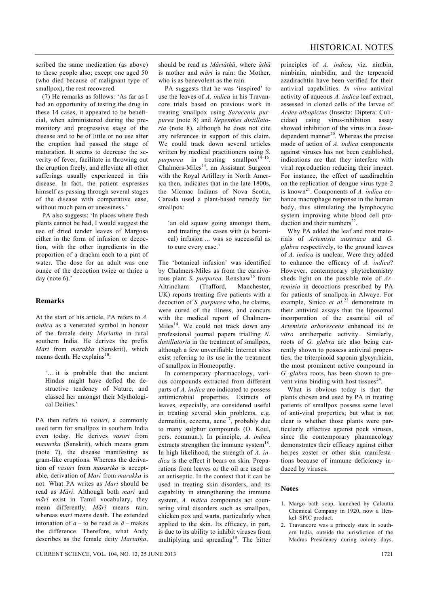scribed the same medication (as above) to these people also; except one aged 50 (who died because of malignant type of smallpox), the rest recovered.

 (7) He remarks as follows: 'As far as I had an opportunity of testing the drug in these 14 cases, it appeared to be beneficial, when administered during the premonitory and progressive stage of the disease and to be of little or no use after the eruption had passed the stage of maturation. It seems to decrease the severity of fever, facilitate in throwing out the eruption freely, and alleviate all other sufferings usually experienced in this disease. In fact, the patient expresses himself as passing through several stages of the disease with comparative ease, without much pain or uneasiness.'

 PA also suggests: 'In places where fresh plants cannot be had, I would suggest the use of dried tender leaves of Margosa either in the form of infusion or decoction, with the other ingredients in the proportion of a drachm each to a pint of water. The dose for an adult was one ounce of the decoction twice or thrice a day (note 6).'

## **Remarks**

At the start of his article, PA refers to *A. indica* as a venerated symbol in honour of the female deity *Mariatha* in rural southern India. He derives the prefix *Mari* from *marakka* (Sanskrit), which means death. He explains<sup>10</sup>:

'… it is probable that the ancient Hindus might have defied the destructive tendency of Nature, and classed her amongst their Mythological Deities.'

PA then refers to *vasuri*, a commonly used term for smallpox in southern India even today. He derives *vasuri* from *masurika* (Sanskrit), which means gram (note 7), the disease manifesting as gram-like eruptions. Whereas the derivation of *vasuri* from *masurika* is acceptable, derivation of *Mari* from *marakka* is not. What PA writes as *Mari* should be read as *Mãri*. Although both *mari* and *mãri* exist in Tamil vocabulary, they mean differently. *Mãri* means rain, whereas *mari* means death. The extended intonation of  $a -$  to be read as  $\tilde{a}$  – makes the difference. Therefore, what Andy describes as the female deity *Mariatha*, should be read as *Mãriãthã*, where *ãthã* is mother and *mãri* is rain: the Mother, who is as benevolent as the rain.

 PA suggests that he was 'inspired' to use the leaves of *A. indica* in his Travancore trials based on previous work in treating smallpox using *Saracenia purpurea* (note 8) and *Nepenthes distillatoria* (note 8), although he does not cite any references in support of this claim. We could track down several articles written by medical practitioners using *S. purpurea* in treating smallpox<sup>14–16</sup>  $F^T$ <sup>1</sup> Chalmers-Miles<sup>14</sup>, an Assistant Surgeon with the Royal Artillery in North America then, indicates that in the late 1800s, the Micmac Indians of Nova Scotia, Canada used a plant-based remedy for smallpox:

'an old squaw going amongst them, and treating the cases with (a botanical) infusion … was so successful as to cure every case.'

The 'botanical infusion' was identified by Chalmers-Miles as from the carnivorous plant *S. purpurea*. Renshaw<sup>16</sup> from Altrincham (Trafford, Manchester, UK) reports treating five patients with a decoction of *S. purpurea* who, he claims, were cured of the illness, and concurs with the medical report of Chalmers-Miles $14$ . We could not track down any professional journal papers trialling *N. distillatoria* in the treatment of smallpox, although a few unverifiable Internet sites exist referring to its use in the treatment of smallpox in Homeopathy.

 In contemporary pharmacology, various compounds extracted from different parts of *A. indica* are indicated to possess antimicrobial properties. Extracts of leaves, especially, are considered useful in treating several skin problems, e.g. dermatitis, eczema, acne<sup>17</sup>, probably due to many sulphur compounds (O. Koul, pers. commun.). In principle, *A. indica*  extracts strengthen the immune system<sup>18</sup> In high likelihood, the strength of *A. indica* is the effect it bears on skin. Preparations from leaves or the oil are used as an antiseptic. In the context that it can be used in treating skin disorders, and its capability in strengthening the immune system, *A. indica* compounds act countering viral disorders such as smallpox, chicken pox and warts, particularly when applied to the skin. Its efficacy, in part, is due to its ability to inhibit viruses from multiplying and spreading<sup>19</sup>. The bitter

principles of *A. indica*, viz. nimbin, nimbinin, nimbidin, and the terpenoid azadirachtin have been verified for their antiviral capabilities. *In vitro* antiviral activity of aqueous *A. indica* leaf extract, assessed in cloned cells of the larvae of *Aedes albopictus* (Insecta: Diptera: Culicidae) using virus-inhibition assay showed inhibition of the virus in a dosedependent manner $^{20}$ . Whereas the precise mode of action of *A. indica* components against viruses has not been established, indications are that they interfere with viral reproduction reducing their impact. For instance, the effect of azadirachtin on the replication of dengue virus type-2 is known<sup>21</sup>. Components of *A. indica* enhance macrophage response in the human body, thus stimulating the lymphocytic system improving white blood cell production and their numbers $^{22}$ .

 Why PA added the leaf and root materials of *Artemisia austriaca* and *G. glabra* respectively, to the ground leaves of *A. indica* is unclear. Were they added to enhance the efficacy of *A. indica*? However, contemporary phytochemistry sheds light on the possible role of *Artemisia* in decoctions prescribed by PA for patients of smallpox in Alwaye. For example, Sinico *et al.*23 demonstrate in their antiviral assays that the liposomal incorporation of the essential oil of *Artemisia arborescens* enhanced its *in vitro* antiherpetic activity. Similarly, roots of *G. glabra* are also being currently shown to possess antiviral properties; the triterpinoid saponin glycyrrhizin, the most prominent active compound in *G. glabra* roots, has been shown to prevent virus binding with host tissues $^{24}$ .

 What is obvious today is that the plants chosen and used by PA in treating patients of smallpox possess some level of anti-viral properties; but what is not clear is whether those plants were particularly effective against pock viruses, since the contemporary pharmacology demonstrates their efficacy against either herpes zoster or other skin manifestations because of immune deficiency induced by viruses.

#### **Notes**

- 1. Margo bath soap, launched by Calcutta Chemical Company in 1920, now a Henkel–SPIC product.
- 2. Travancore was a princely state in southern India, outside the jurisdiction of the Madras Presidency during colony days.